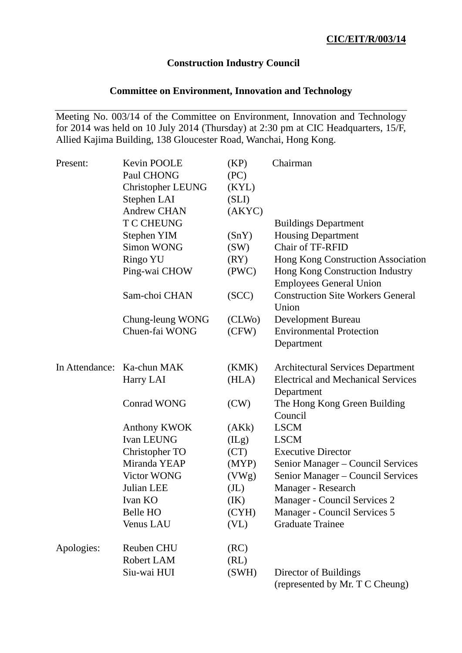### **Construction Industry Council**

# **Committee on Environment, Innovation and Technology**

Meeting No. 003/14 of the Committee on Environment, Innovation and Technology for 2014 was held on 10 July 2014 (Thursday) at 2:30 pm at CIC Headquarters, 15/F, Allied Kajima Building, 138 Gloucester Road, Wanchai, Hong Kong.

| Present:       | Kevin POOLE              | (KP)              | Chairman                                  |
|----------------|--------------------------|-------------------|-------------------------------------------|
|                | Paul CHONG               | (PC)              |                                           |
|                | <b>Christopher LEUNG</b> | (KYL)             |                                           |
|                | Stephen LAI              | (SLI)             |                                           |
|                | <b>Andrew CHAN</b>       | (AKYC)            |                                           |
|                | <b>T C CHEUNG</b>        |                   | <b>Buildings Department</b>               |
|                | Stephen YIM              | (SnY)             | <b>Housing Department</b>                 |
|                | <b>Simon WONG</b>        | (SW)              | Chair of TF-RFID                          |
|                | <b>Ringo YU</b>          | (RY)              | Hong Kong Construction Association        |
|                | Ping-wai CHOW            | (PWC)             | Hong Kong Construction Industry           |
|                |                          |                   | <b>Employees General Union</b>            |
|                | Sam-choi CHAN            | (SCC)             | <b>Construction Site Workers General</b>  |
|                |                          |                   | Union                                     |
|                | Chung-leung WONG         | (CLWo)            | Development Bureau                        |
|                | Chuen-fai WONG           | (CFW)             | <b>Environmental Protection</b>           |
|                |                          |                   | Department                                |
|                |                          |                   |                                           |
| In Attendance: | Ka-chun MAK              | (KMK)             | <b>Architectural Services Department</b>  |
|                | Harry LAI                | (HLA)             | <b>Electrical and Mechanical Services</b> |
|                |                          |                   | Department                                |
|                | <b>Conrad WONG</b>       | (CW)              | The Hong Kong Green Building              |
|                |                          |                   | Council                                   |
|                | Anthony KWOK             | (AKk)             | <b>LSCM</b>                               |
|                | <b>Ivan LEUNG</b>        | (ILg)             | <b>LSCM</b>                               |
|                | Christopher TO           | (CT)              | <b>Executive Director</b>                 |
|                | Miranda YEAP             | (MYP)             | Senior Manager - Council Services         |
|                | <b>Victor WONG</b>       | (VWg)             | Senior Manager - Council Services         |
|                | Julian LEE               | (J <sub>L</sub> ) | Manager - Research                        |
|                | Ivan KO                  | (IK)              | Manager - Council Services 2              |
|                | <b>Belle HO</b>          | (CYH)             | Manager - Council Services 5              |
|                | <b>Venus LAU</b>         | (V <sub>L</sub> ) | <b>Graduate Trainee</b>                   |
| Apologies:     | <b>Reuben CHU</b>        | (RC)              |                                           |
|                | Robert LAM               | (RL)              |                                           |
|                | Siu-wai HUI              | (SWH)             | Director of Buildings                     |
|                |                          |                   | (represented by Mr. T C Cheung)           |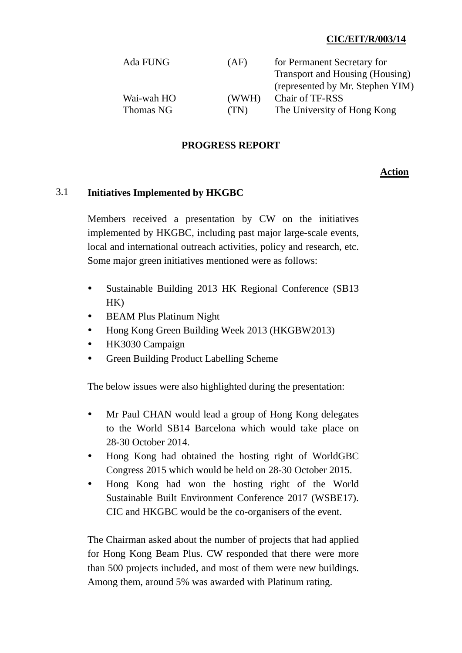### **CIC/EIT/R/003/14**

| Ada FUNG   | (AF)  | for Permanent Secretary for      |
|------------|-------|----------------------------------|
|            |       | Transport and Housing (Housing)  |
|            |       | (represented by Mr. Stephen YIM) |
| Wai-wah HO | (WWH) | Chair of TF-RSS                  |
| Thomas NG  | (TN)  | The University of Hong Kong      |

#### **PROGRESS REPORT**

#### **Action**

#### 3.1 **Initiatives Implemented by HKGBC**

Members received a presentation by CW on the initiatives implemented by HKGBC, including past major large-scale events, local and international outreach activities, policy and research, etc. Some major green initiatives mentioned were as follows:

- Sustainable Building 2013 HK Regional Conference (SB13) HK)
- BEAM Plus Platinum Night
- Hong Kong Green Building Week 2013 (HKGBW2013)
- HK3030 Campaign
- Green Building Product Labelling Scheme

The below issues were also highlighted during the presentation:

- Mr Paul CHAN would lead a group of Hong Kong delegates to the World SB14 Barcelona which would take place on 28-30 October 2014.
- Hong Kong had obtained the hosting right of WorldGBC Congress 2015 which would be held on 28-30 October 2015.
- Hong Kong had won the hosting right of the World Sustainable Built Environment Conference 2017 (WSBE17). CIC and HKGBC would be the co-organisers of the event.

The Chairman asked about the number of projects that had applied for Hong Kong Beam Plus. CW responded that there were more than 500 projects included, and most of them were new buildings. Among them, around 5% was awarded with Platinum rating.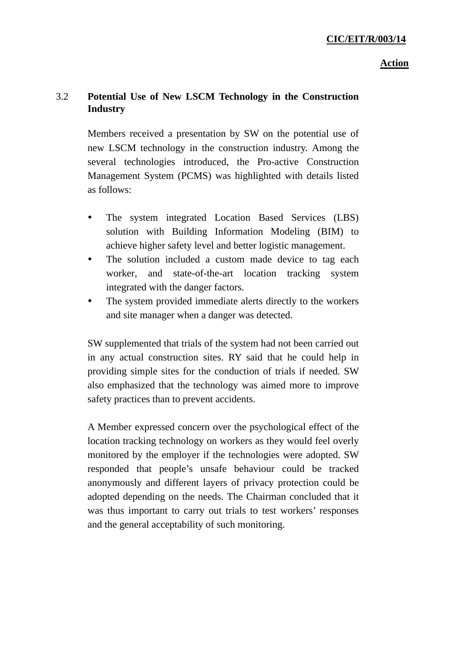# 3.2 **Potential Use of New LSCM Technology in the Construction Industry**

Members received a presentation by SW on the potential use of new LSCM technology in the construction industry. Among the several technologies introduced, the Pro-active Construction Management System (PCMS) was highlighted with details listed as follows:

- The system integrated Location Based Services (LBS) solution with Building Information Modeling (BIM) to achieve higher safety level and better logistic management.
- The solution included a custom made device to tag each worker, and state-of-the-art location tracking system integrated with the danger factors.
- The system provided immediate alerts directly to the workers and site manager when a danger was detected.

SW supplemented that trials of the system had not been carried out in any actual construction sites. RY said that he could help in providing simple sites for the conduction of trials if needed. SW also emphasized that the technology was aimed more to improve safety practices than to prevent accidents.

A Member expressed concern over the psychological effect of the location tracking technology on workers as they would feel overly monitored by the employer if the technologies were adopted. SW responded that people's unsafe behaviour could be tracked anonymously and different layers of privacy protection could be adopted depending on the needs. The Chairman concluded that it was thus important to carry out trials to test workers' responses and the general acceptability of such monitoring.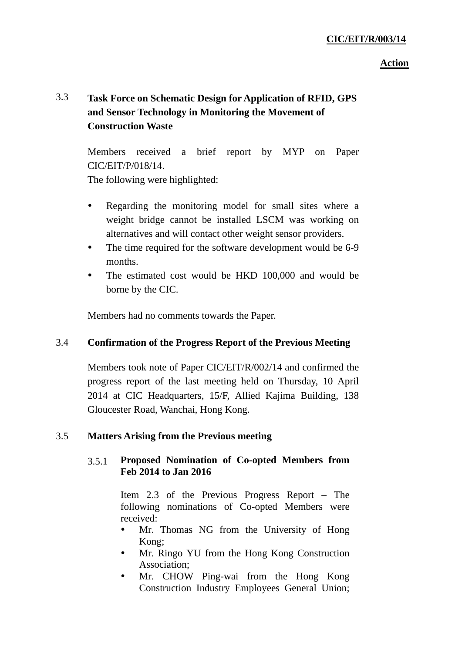### **CIC/EIT/R/003/14**

#### **Action**

# 3.3 **Task Force on Schematic Design for Application of RFID, GPS and Sensor Technology in Monitoring the Movement of Construction Waste**

Members received a brief report by MYP on Paper CIC/EIT/P/018/14.

The following were highlighted:

- Regarding the monitoring model for small sites where a weight bridge cannot be installed LSCM was working on alternatives and will contact other weight sensor providers.
- The time required for the software development would be 6-9 months.
- The estimated cost would be HKD 100,000 and would be borne by the CIC.

Members had no comments towards the Paper.

### 3.4 **Confirmation of the Progress Report of the Previous Meeting**

Members took note of Paper CIC/EIT/R/002/14 and confirmed the progress report of the last meeting held on Thursday, 10 April 2014 at CIC Headquarters, 15/F, Allied Kajima Building, 138 Gloucester Road, Wanchai, Hong Kong.

#### 3.5 **Matters Arising from the Previous meeting**

### 3.5.1 **Proposed Nomination of Co-opted Members from Feb 2014 to Jan 2016**

Item 2.3 of the Previous Progress Report – The following nominations of Co-opted Members were received:

- Mr. Thomas NG from the University of Hong Kong;
- Mr. Ringo YU from the Hong Kong Construction Association;
- Mr. CHOW Ping-wai from the Hong Kong Construction Industry Employees General Union;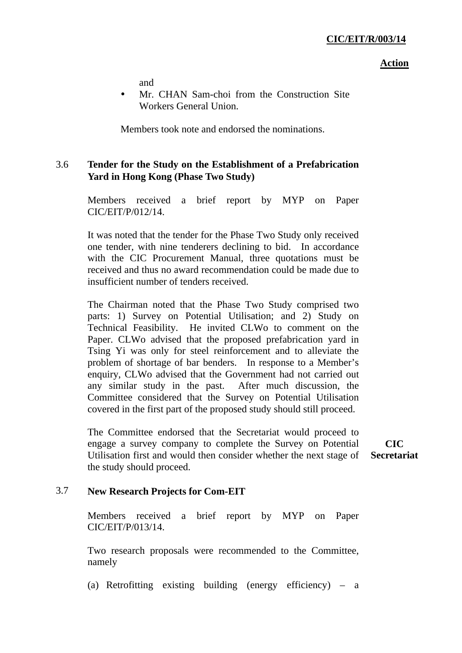and

 Mr. CHAN Sam-choi from the Construction Site Workers General Union.

Members took note and endorsed the nominations.

### 3.6 **Tender for the Study on the Establishment of a Prefabrication Yard in Hong Kong (Phase Two Study)**

Members received a brief report by MYP on Paper CIC/EIT/P/012/14.

It was noted that the tender for the Phase Two Study only received one tender, with nine tenderers declining to bid. In accordance with the CIC Procurement Manual, three quotations must be received and thus no award recommendation could be made due to insufficient number of tenders received.

The Chairman noted that the Phase Two Study comprised two parts: 1) Survey on Potential Utilisation; and 2) Study on Technical Feasibility. He invited CLWo to comment on the Paper. CLWo advised that the proposed prefabrication yard in Tsing Yi was only for steel reinforcement and to alleviate the problem of shortage of bar benders. In response to a Member's enquiry, CLWo advised that the Government had not carried out any similar study in the past. After much discussion, the Committee considered that the Survey on Potential Utilisation covered in the first part of the proposed study should still proceed.

The Committee endorsed that the Secretariat would proceed to engage a survey company to complete the Survey on Potential Utilisation first and would then consider whether the next stage of the study should proceed. **CIC Secretariat**

#### 3.7 **New Research Projects for Com-EIT**

Members received a brief report by MYP on Paper CIC/EIT/P/013/14.

Two research proposals were recommended to the Committee, namely

(a) Retrofitting existing building (energy efficiency) – a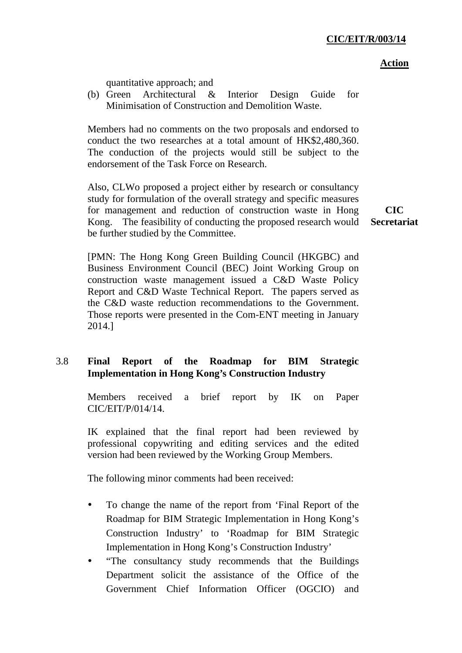quantitative approach; and

(b) Green Architectural & Interior Design Guide for Minimisation of Construction and Demolition Waste.

Members had no comments on the two proposals and endorsed to conduct the two researches at a total amount of HK\$2,480,360. The conduction of the projects would still be subject to the endorsement of the Task Force on Research.

Also, CLWo proposed a project either by research or consultancy study for formulation of the overall strategy and specific measures for management and reduction of construction waste in Hong Kong. The feasibility of conducting the proposed research would be further studied by the Committee.

**CIC Secretariat** 

[PMN: The Hong Kong Green Building Council (HKGBC) and Business Environment Council (BEC) Joint Working Group on construction waste management issued a C&D Waste Policy Report and C&D Waste Technical Report. The papers served as the C&D waste reduction recommendations to the Government. Those reports were presented in the Com-ENT meeting in January 2014.]

# 3.8 **Final Report of the Roadmap for BIM Strategic Implementation in Hong Kong's Construction Industry**

Members received a brief report by IK on Paper CIC/EIT/P/014/14.

IK explained that the final report had been reviewed by professional copywriting and editing services and the edited version had been reviewed by the Working Group Members.

The following minor comments had been received:

- To change the name of the report from 'Final Report of the Roadmap for BIM Strategic Implementation in Hong Kong's Construction Industry' to 'Roadmap for BIM Strategic Implementation in Hong Kong's Construction Industry'
- "The consultancy study recommends that the Buildings Department solicit the assistance of the Office of the Government Chief Information Officer (OGCIO) and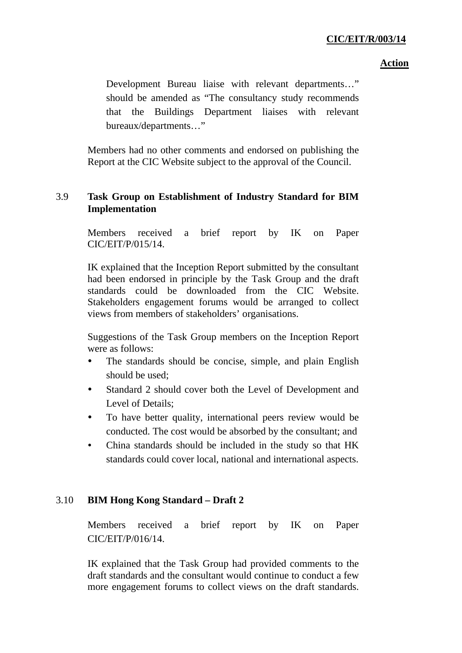### **CIC/EIT/R/003/14**

#### **Action**

Development Bureau liaise with relevant departments…" should be amended as "The consultancy study recommends that the Buildings Department liaises with relevant bureaux/departments…"

Members had no other comments and endorsed on publishing the Report at the CIC Website subject to the approval of the Council.

### 3.9 **Task Group on Establishment of Industry Standard for BIM Implementation**

Members received a brief report by IK on Paper CIC/EIT/P/015/14.

IK explained that the Inception Report submitted by the consultant had been endorsed in principle by the Task Group and the draft standards could be downloaded from the CIC Website. Stakeholders engagement forums would be arranged to collect views from members of stakeholders' organisations.

Suggestions of the Task Group members on the Inception Report were as follows:

- The standards should be concise, simple, and plain English should be used;
- Standard 2 should cover both the Level of Development and Level of Details;
- To have better quality, international peers review would be conducted. The cost would be absorbed by the consultant; and
- China standards should be included in the study so that HK standards could cover local, national and international aspects.

# 3.10 **BIM Hong Kong Standard – Draft 2**

Members received a brief report by IK on Paper CIC/EIT/P/016/14.

IK explained that the Task Group had provided comments to the draft standards and the consultant would continue to conduct a few more engagement forums to collect views on the draft standards.